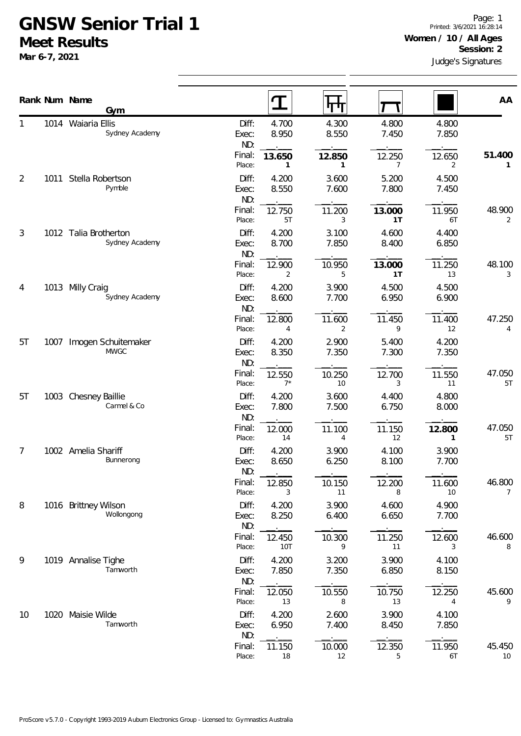## **GNSW Senior Trial 1 Meet Results**

**Mar 6-7, 2021**

|                |      | Rank Num Name<br>Gym                    | $\mathbf T$                | पग                                      |                          |                | AA           |
|----------------|------|-----------------------------------------|----------------------------|-----------------------------------------|--------------------------|----------------|--------------|
| 1              |      | 1014 Waiaria Ellis<br>Sydney Academy    | Diff:<br>Exec:<br>ND:      | 4.700<br>4.300<br>8.550<br>8.950        | 4.800<br>7.450           | 4.800<br>7.850 |              |
|                |      |                                         | Final:<br>13.650<br>Place: | 12.850<br>$\mathbf{1}$<br>1             | 12.250<br>$\overline{7}$ | 12.650<br>2    | 51.400<br>1  |
| $\overline{2}$ | 1011 | Stella Robertson<br>Pymble              | Diff:<br>Exec:<br>ND:      | 4.200<br>3.600<br>8.550<br>7.600        | 5.200<br>7.800           | 4.500<br>7.450 |              |
|                |      |                                         | Final:<br>Place:           | 12.750<br>11.200<br>5T<br>3             | 13.000<br>1T             | 11.950<br>6T   | 48.900<br>2  |
| 3              |      | 1012 Talia Brotherton<br>Sydney Academy | Diff:<br>Exec:<br>ND:      | 4.200<br>3.100<br>8.700<br>7.850        | 4.600<br>8.400           | 4.400<br>6.850 |              |
|                |      |                                         | Final:<br>Place:           | 12.900<br>10.950<br>$\overline{2}$<br>5 | 13.000<br>1 <sub>T</sub> | 11.250<br>13   | 48.100<br>3  |
| 4              |      | 1013 Milly Craig<br>Sydney Academy      | Diff:<br>Exec:<br>ND:      | 4.200<br>3.900<br>8.600<br>7.700        | 4.500<br>6.950           | 4.500<br>6.900 |              |
|                |      |                                         | Final:<br>Place:           | 12.800<br>11.600<br>2<br>4              | 11.450<br>9              | 11.400<br>12   | 47.250<br>4  |
| 5T             | 1007 | Imogen Schuitemaker<br><b>MWGC</b>      | Diff:<br>Exec:<br>ND:      | 2.900<br>4.200<br>8.350<br>7.350        | 5.400<br>7.300           | 4.200<br>7.350 |              |
|                |      |                                         | Final:<br>Place:           | 10.250<br>12.550<br>$7^*$<br>10         | 12.700<br>3              | 11.550<br>11   | 47.050<br>5T |
| 5T             | 1003 | Chesney Baillie<br>Carmel & Co          | Diff:<br>Exec:<br>ND:      | 3.600<br>4.200<br>7.800<br>7.500        | 4.400<br>6.750           | 4.800<br>8.000 |              |
|                |      |                                         | Final:<br>Place:           | 12.000<br>11.100<br>14<br>4             | 11.150<br>12             | 12.800<br>1    | 47.050<br>5T |
| 7              |      | 1002 Amelia Shariff<br>Bunnerong        | Diff:<br>Exec:<br>ND:      | 4.200<br>3.900<br>8.650<br>6.250        | 4.100<br>8.100           | 3.900<br>7.700 |              |
|                |      |                                         | Final:<br>Place:           | 12.850<br>10.150<br>11<br>3             | 12.200<br>8              | 11.600<br>10   | 46.800<br>7  |
| 8              |      | 1016 Brittney Wilson<br>Wollongong      | Diff:<br>Exec:<br>ND:      | 3.900<br>4.200<br>8.250<br>6.400        | 4.600<br>6.650           | 4.900<br>7.700 |              |
|                |      |                                         | Final:<br>Place:           | 12.450<br>10.300<br>10T<br>9            | 11.250<br>11             | 12.600<br>3    | 46.600<br>8  |
| 9              |      | 1019 Annalise Tighe<br>Tamworth         | Diff:<br>Exec:<br>ND:      | 4.200<br>3.200<br>7.850<br>7.350        | 3.900<br>6.850           | 4.100<br>8.150 |              |
|                |      |                                         | Final:<br>Place:           | 10.550<br>12.050<br>8<br>13             | 10.750<br>13             | 12.250<br>4    | 45.600<br>9  |
| 10             | 1020 | Maisie Wilde<br>Tamworth                | Diff:<br>Exec:<br>ND:      | 4.200<br>2.600<br>7.400<br>6.950        | 3.900<br>8.450           | 4.100<br>7.850 |              |
|                |      |                                         | Final:<br>Place:           | 11.150<br>10.000<br>12<br>18            | 12.350<br>5              | 11.950<br>6T   | 45.450<br>10 |